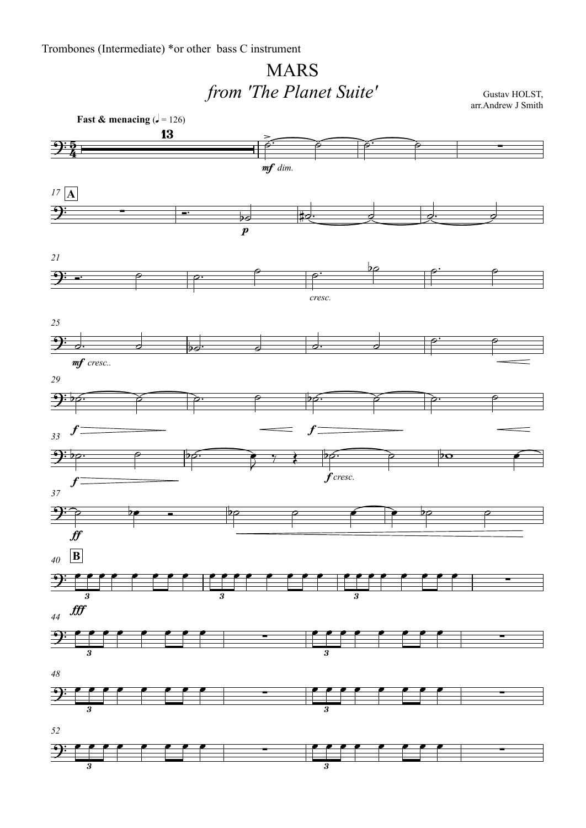## MARS*from 'The Planet Suite'*

Gustav HOLST, arr.Andrew J Smith